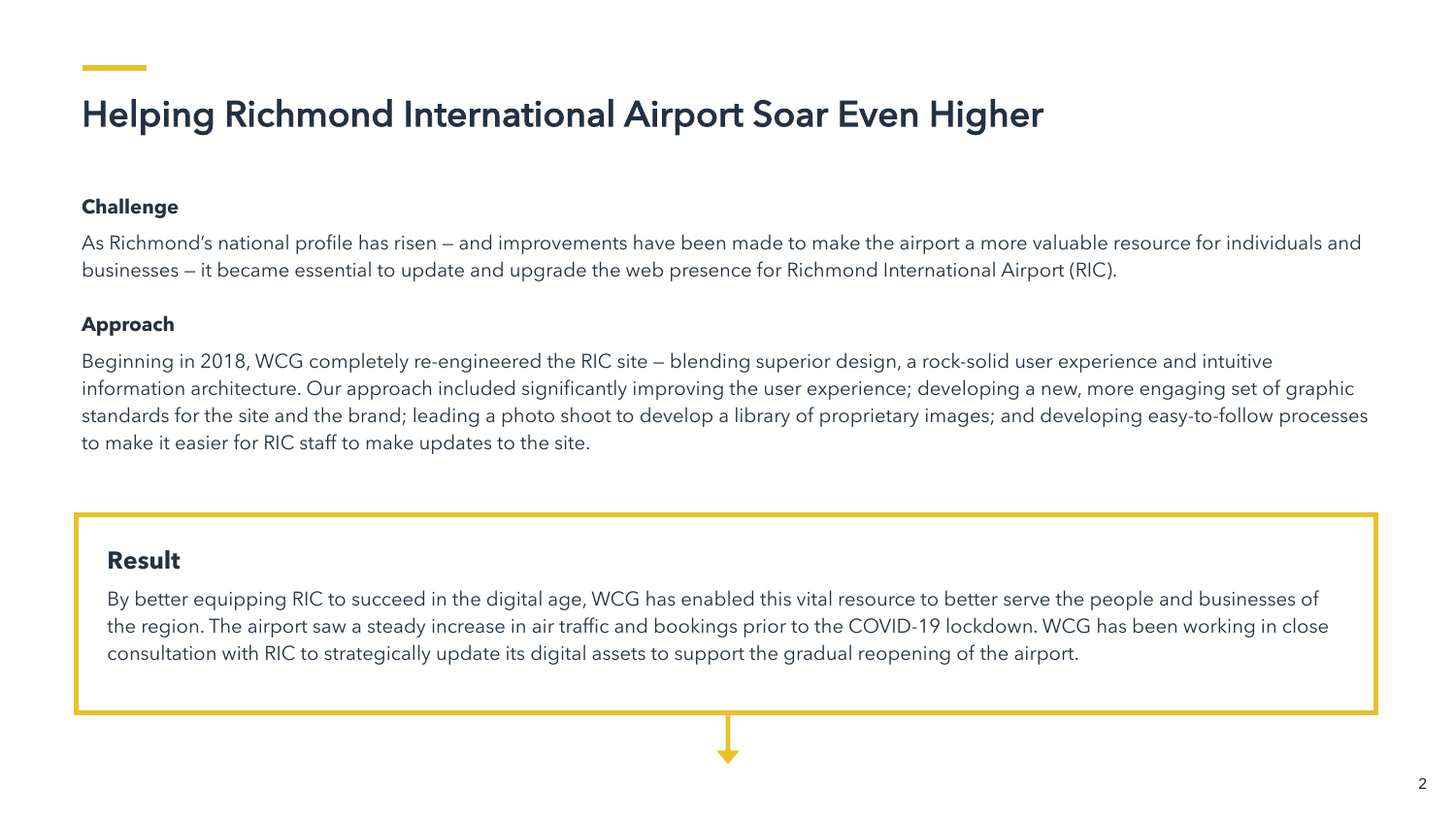# Helping Richmond International Airport Soar Even Higher

### **Challenge**

As Richmond's national profile has risen — and improvements have been made to make the airport a more valuable resource for individuals and businesses — it became essential to update and upgrade the web presence for Richmond International Airport (RIC).

### **Approach**

Beginning in 2018, WCG completely re-engineered the RIC site — blending superior design, a rock-solid user experience and intuitive information architecture. Our approach included significantly improving the user experience; developing a new, more engaging set of graphic standards for the site and the brand; leading a photo shoot to develop a library of proprietary images; and developing easy-to-follow processes to make it easier for RIC staff to make updates to the site.

## **Result**

By better equipping RIC to succeed in the digital age, WCG has enabled this vital resource to better serve the people and businesses of the region. The airport saw a steady increase in air traffic and bookings prior to the COVID-19 lockdown. WCG has been working in close consultation with RIC to strategically update its digital assets to support the gradual reopening of the airport.